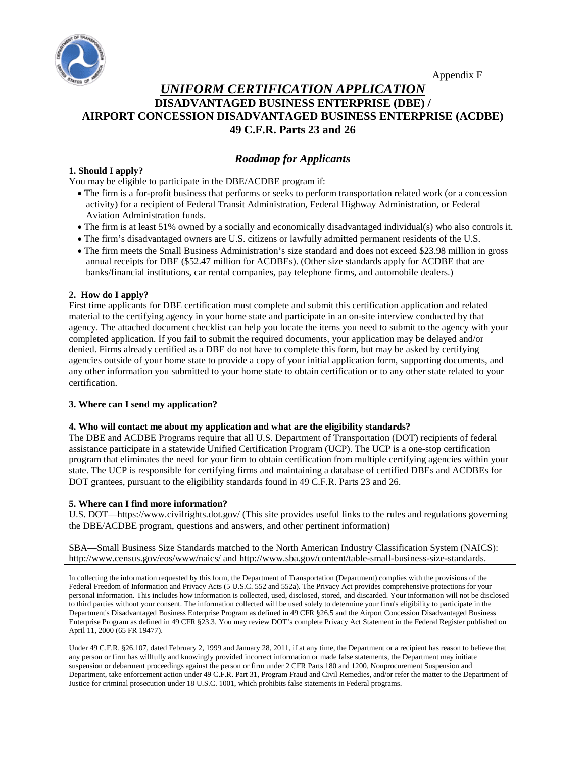

## *UNIFORM CERTIFICATION APPLICATION* **DISADVANTAGED BUSINESS ENTERPRISE (DBE) / AIRPORT CONCESSION DISADVANTAGED BUSINESS ENTERPRISE (ACDBE) 49 C.F.R. Parts 23 and 26**

## *Roadmap for Applicants*

## **1. Should I apply?**

You may be eligible to participate in the DBE/ACDBE program if:

- The firm is a for-profit business that performs or seeks to perform transportation related work (or a concession activity) for a recipient of Federal Transit Administration, Federal Highway Administration, or Federal Aviation Administration funds.
- The firm is at least 51% owned by a socially and economically disadvantaged individual(s) who also controls it.
- The firm's disadvantaged owners are U.S. citizens or lawfully admitted permanent residents of the U.S.
- The firm meets the Small Business Administration's size standard and does not exceed \$23.98 million in gross annual receipts for DBE (\$52.47 million for ACDBEs). (Other size standards apply for ACDBE that are banks/financial institutions, car rental companies, pay telephone firms, and automobile dealers.)

### **2. How do I apply?**

First time applicants for DBE certification must complete and submit this certification application and related material to the certifying agency in your home state and participate in an on-site interview conducted by that agency. The attached document checklist can help you locate the items you need to submit to the agency with your completed application. If you fail to submit the required documents, your application may be delayed and/or denied. Firms already certified as a DBE do not have to complete this form, but may be asked by certifying agencies outside of your home state to provide a copy of your initial application form, supporting documents, and any other information you submitted to your home state to obtain certification or to any other state related to your certification.

### **3. Where can I send my application?**

### **4. Who will contact me about my application and what are the eligibility standards?**

The DBE and ACDBE Programs require that all U.S. Department of Transportation (DOT) recipients of federal assistance participate in a statewide Unified Certification Program (UCP). The UCP is a one-stop certification program that eliminates the need for your firm to obtain certification from multiple certifying agencies within your state. The UCP is responsible for certifying firms and maintaining a database of certified DBEs and ACDBEs for DOT grantees, pursuant to the eligibility standards found in 49 C.F.R. Parts 23 and 26.

### **5. Where can I find more information?**

U.S. DOT—https://www.civilrights.dot.gov/ (This site provides useful links to the rules and regulations governing the DBE/ACDBE program, questions and answers, and other pertinent information)

SBA—Small Business Size Standards matched to the North American Industry Classification System (NAICS): http://www.census.gov/eos/www/naics/ and http://www.sba.gov/content/table-small-business-size-standards.

In collecting the information requested by this form, the Department of Transportation (Department) complies with the provisions of the Federal Freedom of Information and Privacy Acts (5 U.S.C. 552 and 552a). The Privacy Act provides comprehensive protections for your personal information. This includes how information is collected, used, disclosed, stored, and discarded. Your information will not be disclosed to third parties without your consent. The information collected will be used solely to determine your firm's eligibility to participate in the Department's Disadvantaged Business Enterprise Program as defined in 49 CFR §26.5 and the Airport Concession Disadvantaged Business Enterprise Program as defined in 49 CFR §23.3. You may review DOT's complete Privacy Act Statement in the Federal Register published on April 11, 2000 (65 FR 19477).

Under 49 C.F.R. §26.107, dated February 2, 1999 and January 28, 2011, if at any time, the Department or a recipient has reason to believe that any person or firm has willfully and knowingly provided incorrect information or made false statements, the Department may initiate suspension or debarment proceedings against the person or firm under 2 CFR Part[s 180](http://www.law.cornell.edu/cfr/text/2/180) an[d 1200,](http://www.law.cornell.edu/cfr/text/2/1200) Nonprocurement Suspension and Department, take enforcement action under 49 C.F.R. Part 31, Program Fraud and Civil Remedies, and/or refer the matter to the Department of Justice for criminal prosecution under 18 U.S.C. 1001, which prohibits false statements in Federal programs.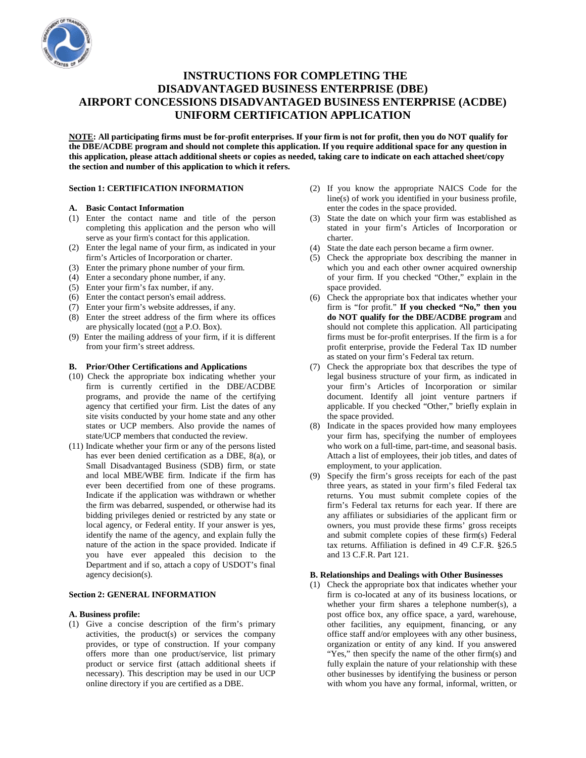

## **INSTRUCTIONS FOR COMPLETING THE DISADVANTAGED BUSINESS ENTERPRISE (DBE) AIRPORT CONCESSIONS DISADVANTAGED BUSINESS ENTERPRISE (ACDBE) UNIFORM CERTIFICATION APPLICATION**

**NOTE: All participating firms must be for-profit enterprises. If your firm is not for profit, then you do NOT qualify for the DBE/ACDBE program and should not complete this application. If you require additional space for any question in this application, please attach additional sheets or copies as needed, taking care to indicate on each attached sheet/copy the section and number of this application to which it refers.**

#### **Section 1: CERTIFICATION INFORMATION**

#### **A. Basic Contact Information**

- (1) Enter the contact name and title of the person completing this application and the person who will serve as your firm's contact for this application.
- (2) Enter the legal name of your firm, as indicated in your firm's Articles of Incorporation or charter.
- (3) Enter the primary phone number of your firm.
- (4) Enter a secondary phone number, if any.
- (5) Enter your firm's fax number, if any.
- (6) Enter the contact person's email address.
- (7) Enter your firm's website addresses, if any.
- (8) Enter the street address of the firm where its offices are physically located (not a P.O. Box).
- (9) Enter the mailing address of your firm, if it is different from your firm's street address.

#### **B. Prior/Other Certifications and Applications**

- (10) Check the appropriate box indicating whether your firm is currently certified in the DBE/ACDBE programs, and provide the name of the certifying agency that certified your firm. List the dates of any site visits conducted by your home state and any other states or UCP members. Also provide the names of state/UCP members that conducted the review.
- (11) Indicate whether your firm or any of the persons listed has ever been denied certification as a DBE, 8(a), or Small Disadvantaged Business (SDB) firm, or state and local MBE/WBE firm. Indicate if the firm has ever been decertified from one of these programs. Indicate if the application was withdrawn or whether the firm was debarred, suspended, or otherwise had its bidding privileges denied or restricted by any state or local agency, or Federal entity. If your answer is yes, identify the name of the agency, and explain fully the nature of the action in the space provided. Indicate if you have ever appealed this decision to the Department and if so, attach a copy of USDOT's final agency decision(s).

#### **Section 2: GENERAL INFORMATION**

#### **A. Business profile:**

(1) Give a concise description of the firm's primary activities, the product(s) or services the company provides, or type of construction. If your company offers more than one product/service, list primary product or service first (attach additional sheets if necessary). This description may be used in our UCP online directory if you are certified as a DBE.

- (2) If you know the appropriate NAICS Code for the line(s) of work you identified in your business profile, enter the codes in the space provided.
- (3) State the date on which your firm was established as stated in your firm's Articles of Incorporation or charter.
- (4) State the date each person became a firm owner.
- (5) Check the appropriate box describing the manner in which you and each other owner acquired ownership of your firm. If you checked "Other," explain in the space provided.
- (6) Check the appropriate box that indicates whether your firm is "for profit." **If you checked "No," then you do NOT qualify for the DBE/ACDBE program** and should not complete this application. All participating firms must be for-profit enterprises. If the firm is a for profit enterprise, provide the Federal Tax ID number as stated on your firm's Federal tax return.
- (7) Check the appropriate box that describes the type of legal business structure of your firm, as indicated in your firm's Articles of Incorporation or similar document. Identify all joint venture partners if applicable. If you checked "Other," briefly explain in the space provided.
- (8) Indicate in the spaces provided how many employees your firm has, specifying the number of employees who work on a full-time, part-time, and seasonal basis. Attach a list of employees, their job titles, and dates of employment, to your application.
- (9) Specify the firm's gross receipts for each of the past three years, as stated in your firm's filed Federal tax returns. You must submit complete copies of the firm's Federal tax returns for each year. If there are any affiliates or subsidiaries of the applicant firm or owners, you must provide these firms' gross receipts and submit complete copies of these firm(s) Federal tax returns. Affiliation is defined in 49 C.F.R. §26.5 and 13 C.F.R. Part 121.

#### **B. Relationships and Dealings with Other Businesses**

(1) Check the appropriate box that indicates whether your firm is co-located at any of its business locations, or whether your firm shares a telephone number(s), a post office box, any office space, a yard, warehouse, other facilities, any equipment, financing, or any office staff and/or employees with any other business, organization or entity of any kind. If you answered "Yes," then specify the name of the other firm(s) and fully explain the nature of your relationship with these other businesses by identifying the business or person with whom you have any formal, informal, written, or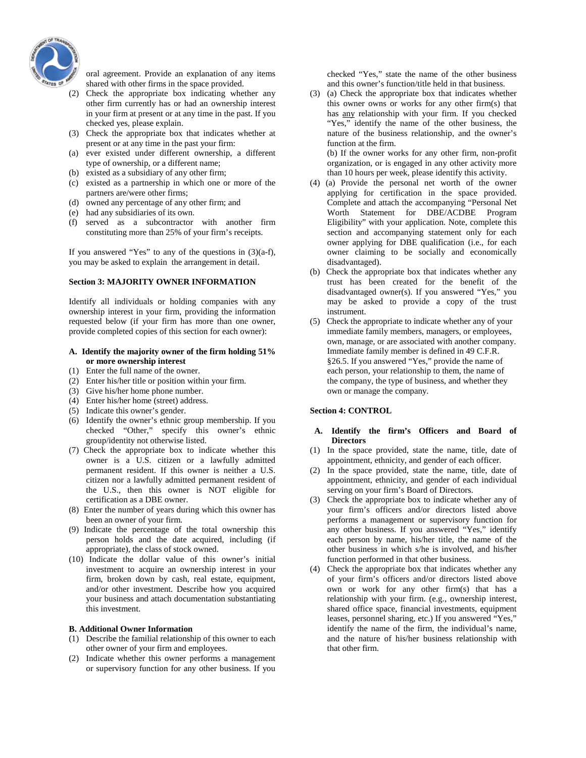

oral agreement. Provide an explanation of any items shared with other firms in the space provided.

- (2) Check the appropriate box indicating whether any other firm currently has or had an ownership interest in your firm at present or at any time in the past. If you checked yes, please explain.
- (3) Check the appropriate box that indicates whether at present or at any time in the past your firm:
- (a) ever existed under different ownership, a different type of ownership, or a different name;
- (b) existed as a subsidiary of any other firm;
- (c) existed as a partnership in which one or more of the partners are/were other firms;
- (d) owned any percentage of any other firm; and
- (e) had any subsidiaries of its own.
- (f) served as a subcontractor with another firm constituting more than 25% of your firm's receipts.

If you answered "Yes" to any of the questions in  $(3)(a-f)$ , you may be asked to explain the arrangement in detail.

#### **Section 3: MAJORITY OWNER INFORMATION**

Identify all individuals or holding companies with any ownership interest in your firm, providing the information requested below (if your firm has more than one owner, provide completed copies of this section for each owner):

#### **A. Identify the majority owner of the firm holding 51% or more ownership interest**

- (1) Enter the full name of the owner.
- (2) Enter his/her title or position within your firm.
- (3) Give his/her home phone number.
- (4) Enter his/her home (street) address.
- (5) Indicate this owner's gender.
- (6) Identify the owner's ethnic group membership. If you checked "Other," specify this owner's ethnic group/identity not otherwise listed.
- (7) Check the appropriate box to indicate whether this owner is a U.S. citizen or a lawfully admitted permanent resident. If this owner is neither a U.S. citizen nor a lawfully admitted permanent resident of the U.S., then this owner is NOT eligible for certification as a DBE owner.
- (8) Enter the number of years during which this owner has been an owner of your firm.
- (9) Indicate the percentage of the total ownership this person holds and the date acquired, including (if appropriate), the class of stock owned.
- (10) Indicate the dollar value of this owner's initial investment to acquire an ownership interest in your firm, broken down by cash, real estate, equipment, and/or other investment. Describe how you acquired your business and attach documentation substantiating this investment.

#### **B. Additional Owner Information**

- (1) Describe the familial relationship of this owner to each other owner of your firm and employees.
- (2) Indicate whether this owner performs a management or supervisory function for any other business. If you

checked "Yes," state the name of the other business and this owner's function/title held in that business.

(3) (a) Check the appropriate box that indicates whether this owner owns or works for any other firm(s) that has any relationship with your firm. If you checked "Yes," identify the name of the other business, the nature of the business relationship, and the owner's function at the firm. (b) If the owner works for any other firm, non-profit

organization, or is engaged in any other activity more than 10 hours per week, please identify this activity.

- (4) (a) Provide the personal net worth of the owner applying for certification in the space provided. Complete and attach the accompanying "Personal Net Worth Statement for DBE/ACDBE Program Eligibility" with your application. Note, complete this section and accompanying statement only for each owner applying for DBE qualification (i.e., for each owner claiming to be socially and economically disadvantaged).
- (b) Check the appropriate box that indicates whether any trust has been created for the benefit of the disadvantaged owner(s). If you answered "Yes," you may be asked to provide a copy of the trust instrument.
- (5)Check the appropriate to indicate whether any of your immediate family members, managers, or employees, own, manage, or are associated with another company. Immediate family member is defined in 49 C.F.R. §26.5. If you answered "Yes," provide the name of each person, your relationship to them, the name of the company, the type of business, and whether they own or manage the company.

#### **Section 4: CONTROL**

#### **A. Identify the firm's Officers and Board of Directors**

- (1) In the space provided, state the name, title, date of appointment, ethnicity, and gender of each officer.
- (2) In the space provided, state the name, title, date of appointment, ethnicity, and gender of each individual serving on your firm's Board of Directors.
- (3) Check the appropriate box to indicate whether any of your firm's officers and/or directors listed above performs a management or supervisory function for any other business. If you answered "Yes," identify each person by name, his/her title, the name of the other business in which s/he is involved, and his/her function performed in that other business.
- (4) Check the appropriate box that indicates whether any of your firm's officers and/or directors listed above own or work for any other firm(s) that has a relationship with your firm. (e.g., ownership interest, shared office space, financial investments, equipment leases, personnel sharing, etc.) If you answered "Yes," identify the name of the firm, the individual's name, and the nature of his/her business relationship with that other firm.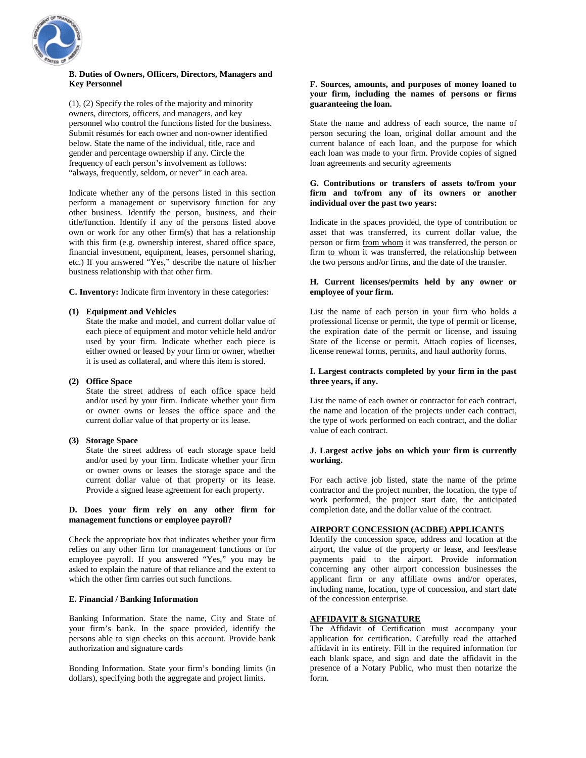

#### **B. Duties of Owners, Officers, Directors, Managers and Key Personnel**

(1), (2) Specify the roles of the majority and minority owners, directors, officers, and managers, and key personnel who control the functions listed for the business. Submit résumés for each owner and non-owner identified below. State the name of the individual, title, race and gender and percentage ownership if any. Circle the frequency of each person's involvement as follows: "always, frequently, seldom, or never" in each area.

Indicate whether any of the persons listed in this section perform a management or supervisory function for any other business. Identify the person, business, and their title/function. Identify if any of the persons listed above own or work for any other firm(s) that has a relationship with this firm (e.g. ownership interest, shared office space, financial investment, equipment, leases, personnel sharing, etc.) If you answered "Yes," describe the nature of his/her business relationship with that other firm.

**C. Inventory:** Indicate firm inventory in these categories:

#### **(1) Equipment and Vehicles**

State the make and model, and current dollar value of each piece of equipment and motor vehicle held and/or used by your firm. Indicate whether each piece is either owned or leased by your firm or owner, whether it is used as collateral, and where this item is stored.

#### **(2) Office Space**

State the street address of each office space held and/or used by your firm. Indicate whether your firm or owner owns or leases the office space and the current dollar value of that property or its lease.

#### **(3) Storage Space**

State the street address of each storage space held and/or used by your firm. Indicate whether your firm or owner owns or leases the storage space and the current dollar value of that property or its lease. Provide a signed lease agreement for each property.

#### **D. Does your firm rely on any other firm for management functions or employee payroll?**

Check the appropriate box that indicates whether your firm relies on any other firm for management functions or for employee payroll. If you answered "Yes," you may be asked to explain the nature of that reliance and the extent to which the other firm carries out such functions.

#### **E. Financial / Banking Information**

Banking Information. State the name, City and State of your firm's bank. In the space provided, identify the persons able to sign checks on this account. Provide bank authorization and signature cards

Bonding Information. State your firm's bonding limits (in dollars), specifying both the aggregate and project limits.

#### **F. Sources, amounts, and purposes of money loaned to your firm, including the names of persons or firms guaranteeing the loan.**

State the name and address of each source, the name of person securing the loan, original dollar amount and the current balance of each loan, and the purpose for which each loan was made to your firm. Provide copies of signed loan agreements and security agreements

#### **G. Contributions or transfers of assets to/from your firm and to/from any of its owners or another individual over the past two years:**

Indicate in the spaces provided, the type of contribution or asset that was transferred, its current dollar value, the person or firm from whom it was transferred, the person or firm to whom it was transferred, the relationship between the two persons and/or firms, and the date of the transfer.

#### **H. Current licenses/permits held by any owner or employee of your firm.**

List the name of each person in your firm who holds a professional license or permit, the type of permit or license, the expiration date of the permit or license, and issuing State of the license or permit. Attach copies of licenses, license renewal forms, permits, and haul authority forms.

#### **I. Largest contracts completed by your firm in the past three years, if any.**

List the name of each owner or contractor for each contract, the name and location of the projects under each contract, the type of work performed on each contract, and the dollar value of each contract.

#### **J. Largest active jobs on which your firm is currently working.**

For each active job listed, state the name of the prime contractor and the project number, the location, the type of work performed, the project start date, the anticipated completion date, and the dollar value of the contract.

#### **AIRPORT CONCESSION (ACDBE) APPLICANTS**

Identify the concession space, address and location at the airport, the value of the property or lease, and fees/lease payments paid to the airport. Provide information concerning any other airport concession businesses the applicant firm or any affiliate owns and/or operates, including name, location, type of concession, and start date of the concession enterprise.

#### **AFFIDAVIT & SIGNATURE**

The Affidavit of Certification must accompany your application for certification. Carefully read the attached affidavit in its entirety. Fill in the required information for each blank space, and sign and date the affidavit in the presence of a Notary Public, who must then notarize the form.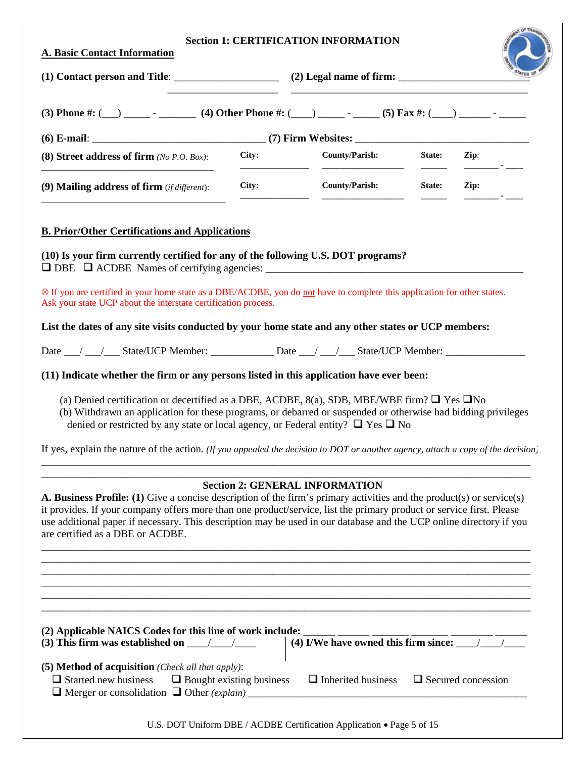| (3) Phone #: (__) ______ - ________ (4) Other Phone #: (___) _____ - _____ (5) Fax #: (___) ______ - _____                                                                                                                                                                                                                                                                                                                                                                                                                                                                                                                                                                                                                                                                                                                                                    |       |                                                                       |        |                                                                                                                                                                                                                                                                                                                                                                                                                                          |  |  |  |  |  |
|---------------------------------------------------------------------------------------------------------------------------------------------------------------------------------------------------------------------------------------------------------------------------------------------------------------------------------------------------------------------------------------------------------------------------------------------------------------------------------------------------------------------------------------------------------------------------------------------------------------------------------------------------------------------------------------------------------------------------------------------------------------------------------------------------------------------------------------------------------------|-------|-----------------------------------------------------------------------|--------|------------------------------------------------------------------------------------------------------------------------------------------------------------------------------------------------------------------------------------------------------------------------------------------------------------------------------------------------------------------------------------------------------------------------------------------|--|--|--|--|--|
|                                                                                                                                                                                                                                                                                                                                                                                                                                                                                                                                                                                                                                                                                                                                                                                                                                                               |       |                                                                       |        |                                                                                                                                                                                                                                                                                                                                                                                                                                          |  |  |  |  |  |
| (8) Street address of firm $(No\ P.O. \ Box)$ :                                                                                                                                                                                                                                                                                                                                                                                                                                                                                                                                                                                                                                                                                                                                                                                                               | City: | <b>County/Parish:</b>                                                 | State: | Zip:                                                                                                                                                                                                                                                                                                                                                                                                                                     |  |  |  |  |  |
| (9) Mailing address of firm (if different):                                                                                                                                                                                                                                                                                                                                                                                                                                                                                                                                                                                                                                                                                                                                                                                                                   | City: | <b>County/Parish:</b>                                                 | State: | Zip:<br>$\frac{1}{\sqrt{1-\frac{1}{2}}}\cdot\frac{1}{\sqrt{1-\frac{1}{2}}}\cdot\frac{1}{\sqrt{1-\frac{1}{2}}}\cdot\frac{1}{\sqrt{1-\frac{1}{2}}}\cdot\frac{1}{\sqrt{1-\frac{1}{2}}}\cdot\frac{1}{\sqrt{1-\frac{1}{2}}}\cdot\frac{1}{\sqrt{1-\frac{1}{2}}}\cdot\frac{1}{\sqrt{1-\frac{1}{2}}}\cdot\frac{1}{\sqrt{1-\frac{1}{2}}}\cdot\frac{1}{\sqrt{1-\frac{1}{2}}}\cdot\frac{1}{\sqrt{1-\frac{1}{2}}}\cdot\frac{1}{\sqrt{1-\frac{1}{2}}$ |  |  |  |  |  |
| <b>B. Prior/Other Certifications and Applications</b>                                                                                                                                                                                                                                                                                                                                                                                                                                                                                                                                                                                                                                                                                                                                                                                                         |       |                                                                       |        |                                                                                                                                                                                                                                                                                                                                                                                                                                          |  |  |  |  |  |
| (10) Is your firm currently certified for any of the following U.S. DOT programs?<br>$\Box$ DBE $\Box$ ACDBE Names of certifying agencies:                                                                                                                                                                                                                                                                                                                                                                                                                                                                                                                                                                                                                                                                                                                    |       |                                                                       |        |                                                                                                                                                                                                                                                                                                                                                                                                                                          |  |  |  |  |  |
| ⊗ If you are certified in your home state as a DBE/ACDBE, you do not have to complete this application for other states.<br>Ask your state UCP about the interstate certification process.                                                                                                                                                                                                                                                                                                                                                                                                                                                                                                                                                                                                                                                                    |       |                                                                       |        |                                                                                                                                                                                                                                                                                                                                                                                                                                          |  |  |  |  |  |
|                                                                                                                                                                                                                                                                                                                                                                                                                                                                                                                                                                                                                                                                                                                                                                                                                                                               |       |                                                                       |        |                                                                                                                                                                                                                                                                                                                                                                                                                                          |  |  |  |  |  |
|                                                                                                                                                                                                                                                                                                                                                                                                                                                                                                                                                                                                                                                                                                                                                                                                                                                               |       |                                                                       |        |                                                                                                                                                                                                                                                                                                                                                                                                                                          |  |  |  |  |  |
|                                                                                                                                                                                                                                                                                                                                                                                                                                                                                                                                                                                                                                                                                                                                                                                                                                                               |       |                                                                       |        |                                                                                                                                                                                                                                                                                                                                                                                                                                          |  |  |  |  |  |
|                                                                                                                                                                                                                                                                                                                                                                                                                                                                                                                                                                                                                                                                                                                                                                                                                                                               |       |                                                                       |        |                                                                                                                                                                                                                                                                                                                                                                                                                                          |  |  |  |  |  |
| (a) Denied certification or decertified as a DBE, ACDBE, 8(a), SDB, MBE/WBE firm? $\Box$ Yes $\Box$ No<br>(b) Withdrawn an application for these programs, or debarred or suspended or otherwise had bidding privileges<br>denied or restricted by any state or local agency, or Federal entity? $\Box$ Yes $\Box$ No                                                                                                                                                                                                                                                                                                                                                                                                                                                                                                                                         |       |                                                                       |        |                                                                                                                                                                                                                                                                                                                                                                                                                                          |  |  |  |  |  |
|                                                                                                                                                                                                                                                                                                                                                                                                                                                                                                                                                                                                                                                                                                                                                                                                                                                               |       |                                                                       |        |                                                                                                                                                                                                                                                                                                                                                                                                                                          |  |  |  |  |  |
|                                                                                                                                                                                                                                                                                                                                                                                                                                                                                                                                                                                                                                                                                                                                                                                                                                                               |       | <b>Section 2: GENERAL INFORMATION</b>                                 |        |                                                                                                                                                                                                                                                                                                                                                                                                                                          |  |  |  |  |  |
|                                                                                                                                                                                                                                                                                                                                                                                                                                                                                                                                                                                                                                                                                                                                                                                                                                                               |       |                                                                       |        |                                                                                                                                                                                                                                                                                                                                                                                                                                          |  |  |  |  |  |
|                                                                                                                                                                                                                                                                                                                                                                                                                                                                                                                                                                                                                                                                                                                                                                                                                                                               |       |                                                                       |        |                                                                                                                                                                                                                                                                                                                                                                                                                                          |  |  |  |  |  |
| List the dates of any site visits conducted by your home state and any other states or UCP members:<br>Date __/ __/ __ State/UCP Member: ______________ Date __/ __/ __ State/UCP Member: ________________<br>(11) Indicate whether the firm or any persons listed in this application have ever been:<br>If yes, explain the nature of the action. (If you appealed the decision to DOT or another agency, attach a copy of the decision,<br><b>A. Business Profile:</b> (1) Give a concise description of the firm's primary activities and the product(s) or service(s)<br>it provides. If your company offers more than one product/service, list the primary product or service first. Please<br>use additional paper if necessary. This description may be used in our database and the UCP online directory if you<br>are certified as a DBE or ACDBE. |       |                                                                       |        |                                                                                                                                                                                                                                                                                                                                                                                                                                          |  |  |  |  |  |
|                                                                                                                                                                                                                                                                                                                                                                                                                                                                                                                                                                                                                                                                                                                                                                                                                                                               |       |                                                                       |        |                                                                                                                                                                                                                                                                                                                                                                                                                                          |  |  |  |  |  |
| (3) This firm was established on $\frac{1}{\sqrt{1-\frac{1}{2}}}$                                                                                                                                                                                                                                                                                                                                                                                                                                                                                                                                                                                                                                                                                                                                                                                             |       | (4) I/We have owned this firm since: $\frac{1}{\sqrt{1-\frac{1}{2}}}$ |        |                                                                                                                                                                                                                                                                                                                                                                                                                                          |  |  |  |  |  |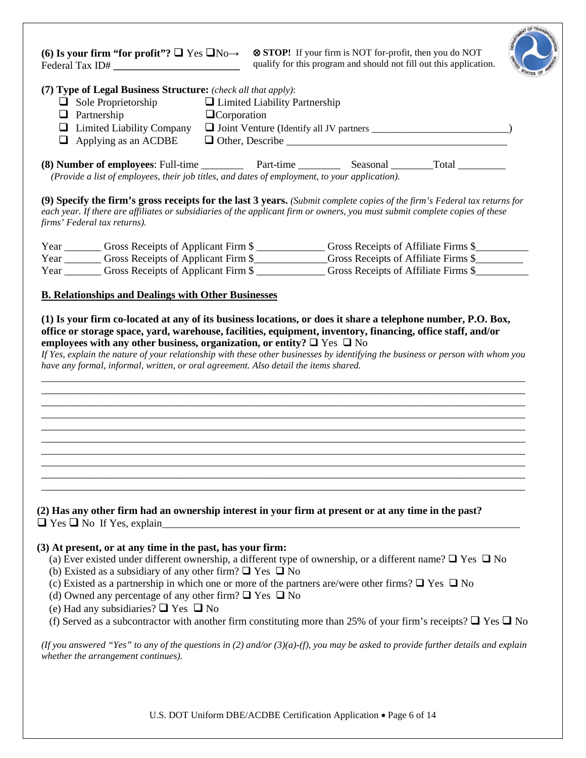| Federal Tax ID#                                                                                                                                                                                                                                                                                             | (6) Is your firm "for profit"? $\Box$ Yes $\Box$ No $\rightarrow$ $\otimes$ STOP! If your firm is NOT for-profit, then you do NOT<br>qualify for this program and should not fill out this application. |  |
|-------------------------------------------------------------------------------------------------------------------------------------------------------------------------------------------------------------------------------------------------------------------------------------------------------------|---------------------------------------------------------------------------------------------------------------------------------------------------------------------------------------------------------|--|
| (7) Type of Legal Business Structure: (check all that apply):<br>$\Box$ Sole Proprietorship<br>$\Box$ Partnership<br>$\Box$ Limited Liability Company<br>$\Box$ Applying as an ACDBE                                                                                                                        | $\Box$ Limited Liability Partnership<br>$\Box$ Corporation                                                                                                                                              |  |
| (Provide a list of employees, their job titles, and dates of employment, to your application).                                                                                                                                                                                                              |                                                                                                                                                                                                         |  |
| (9) Specify the firm's gross receipts for the last 3 years. (Submit complete copies of the firm's Federal tax returns for<br>each year. If there are affiliates or subsidiaries of the applicant firm or owners, you must submit complete copies of these<br>firms' Federal tax returns).                   |                                                                                                                                                                                                         |  |
| Year _________ Gross Receipts of Applicant Firm \$ ________________ Gross Receipts of Affiliate Firms \$                                                                                                                                                                                                    |                                                                                                                                                                                                         |  |
| Year ________ Gross Receipts of Applicant Firm \$_____________Gross Receipts of Affiliate Firms \$_________                                                                                                                                                                                                 |                                                                                                                                                                                                         |  |
| Year _________ Gross Receipts of Applicant Firm \$ _______________ Gross Receipts of Affiliate Firms \$                                                                                                                                                                                                     |                                                                                                                                                                                                         |  |
|                                                                                                                                                                                                                                                                                                             |                                                                                                                                                                                                         |  |
| <b>B. Relationships and Dealings with Other Businesses</b>                                                                                                                                                                                                                                                  |                                                                                                                                                                                                         |  |
|                                                                                                                                                                                                                                                                                                             | If Yes, explain the nature of your relationship with these other businesses by identifying the business or person with whom you                                                                         |  |
|                                                                                                                                                                                                                                                                                                             |                                                                                                                                                                                                         |  |
| have any formal, informal, written, or oral agreement. Also detail the items shared.<br>(2) Has any other firm had an ownership interest in your firm at present or at any time in the past?                                                                                                                |                                                                                                                                                                                                         |  |
| (a) Ever existed under different ownership, a different type of ownership, or a different name? $\Box$ Yes $\Box$ No<br>(b) Existed as a subsidiary of any other firm? $\Box$ Yes $\Box$ No<br>(c) Existed as a partnership in which one or more of the partners are/were other firms? $\Box$ Yes $\Box$ No |                                                                                                                                                                                                         |  |
| (d) Owned any percentage of any other firm? $\Box$ Yes $\Box$ No<br>(e) Had any subsidiaries? $\Box$ Yes $\Box$ No                                                                                                                                                                                          |                                                                                                                                                                                                         |  |
| (3) At present, or at any time in the past, has your firm:<br>(f) Served as a subcontractor with another firm constituting more than 25% of your firm's receipts? $\Box$ Yes $\Box$ No                                                                                                                      |                                                                                                                                                                                                         |  |

U.S. DOT Uniform DBE/ACDBE Certification Application • Page 6 of 14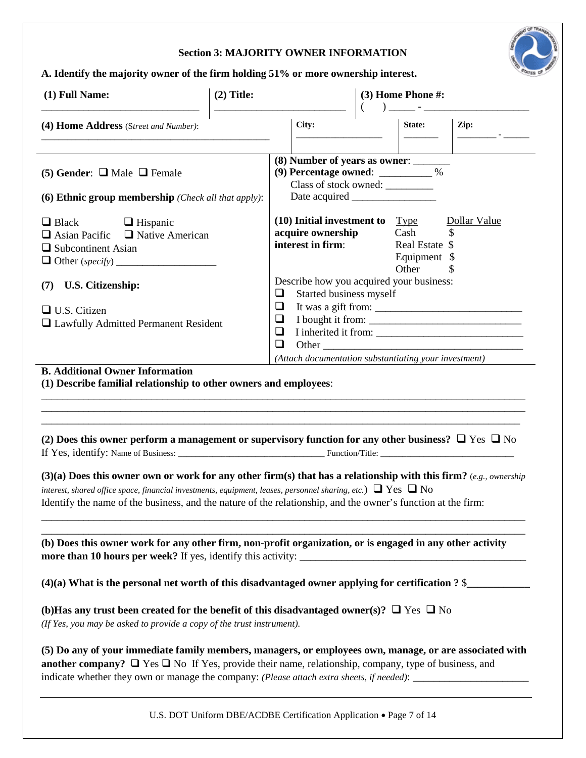## **Section 3: MAJORITY OWNER INFORMATION**



**A. Identify the majority owner of the firm holding 51% or more ownership interest.** 

| (1) Full Name:                                                                                                                                                                                                                                                                                                                                                                                                                                                                                                                                                                                                                                                                                                                             | $(2)$ Title: | <u> 1980 - Johann Stoff, fransk politik (d. 1980)</u>                                                          | $\left($ | (3) Home Phone #:                               | ) _____ - _______________________         |
|--------------------------------------------------------------------------------------------------------------------------------------------------------------------------------------------------------------------------------------------------------------------------------------------------------------------------------------------------------------------------------------------------------------------------------------------------------------------------------------------------------------------------------------------------------------------------------------------------------------------------------------------------------------------------------------------------------------------------------------------|--------------|----------------------------------------------------------------------------------------------------------------|----------|-------------------------------------------------|-------------------------------------------|
| (4) Home Address (Street and Number):                                                                                                                                                                                                                                                                                                                                                                                                                                                                                                                                                                                                                                                                                                      |              | City:                                                                                                          |          | State:                                          | Zip:                                      |
| (5) Gender: $\Box$ Male $\Box$ Female<br>(6) Ethnic group membership (Check all that apply):                                                                                                                                                                                                                                                                                                                                                                                                                                                                                                                                                                                                                                               |              | (8) Number of years as owner: ______<br>(9) Percentage owned: ___________ %<br>Class of stock owned: _________ |          |                                                 |                                           |
| $\Box$ Black $\Box$ Hispanic<br>$\Box$ Asian Pacific $\Box$ Native American<br>$\Box$ Subcontinent Asian                                                                                                                                                                                                                                                                                                                                                                                                                                                                                                                                                                                                                                   |              | $(10)$ Initial investment to Type<br>acquire ownership<br>interest in firm:                                    |          | Cash<br>Real Estate \$<br>Equipment \$<br>Other | Dollar Value                              |
| (7) U.S. Citizenship:                                                                                                                                                                                                                                                                                                                                                                                                                                                                                                                                                                                                                                                                                                                      |              | Describe how you acquired your business:                                                                       |          |                                                 |                                           |
| $\Box$ U.S. Citizen<br>Lawfully Admitted Permanent Resident                                                                                                                                                                                                                                                                                                                                                                                                                                                                                                                                                                                                                                                                                |              | ❏<br>Started business myself<br>$\Box$<br>$\Box$<br>❏<br>❏                                                     |          |                                                 | I bought it from:<br>I inherited it from: |
|                                                                                                                                                                                                                                                                                                                                                                                                                                                                                                                                                                                                                                                                                                                                            |              | (Attach documentation substantiating your investment)                                                          |          |                                                 |                                           |
|                                                                                                                                                                                                                                                                                                                                                                                                                                                                                                                                                                                                                                                                                                                                            |              |                                                                                                                |          |                                                 |                                           |
| (1) Describe familial relationship to other owners and employees:                                                                                                                                                                                                                                                                                                                                                                                                                                                                                                                                                                                                                                                                          |              |                                                                                                                |          |                                                 |                                           |
|                                                                                                                                                                                                                                                                                                                                                                                                                                                                                                                                                                                                                                                                                                                                            |              |                                                                                                                |          |                                                 |                                           |
|                                                                                                                                                                                                                                                                                                                                                                                                                                                                                                                                                                                                                                                                                                                                            |              |                                                                                                                |          |                                                 |                                           |
| <b>B.</b> Additional Owner Information<br>(2) Does this owner perform a management or supervisory function for any other business? $\Box$ Yes $\Box$ No<br>(3)(a) Does this owner own or work for any other firm(s) that has a relationship with this firm? (e.g., ownership<br>interest, shared office space, financial investments, equipment, leases, personnel sharing, etc.) $\Box$ Yes $\Box$ No<br>Identify the name of the business, and the nature of the relationship, and the owner's function at the firm:<br>(b) Does this owner work for any other firm, non-profit organization, or is engaged in any other activity<br>$(4)(a)$ What is the personal net worth of this disadvantaged owner applying for certification ? \$ |              |                                                                                                                |          |                                                 |                                           |
| (b) Has any trust been created for the benefit of this disadvantaged owner(s)? $\Box$ Yes $\Box$ No<br>(If Yes, you may be asked to provide a copy of the trust instrument).                                                                                                                                                                                                                                                                                                                                                                                                                                                                                                                                                               |              |                                                                                                                |          |                                                 |                                           |

U.S. DOT Uniform DBE/ACDBE Certification Application • Page 7 of 14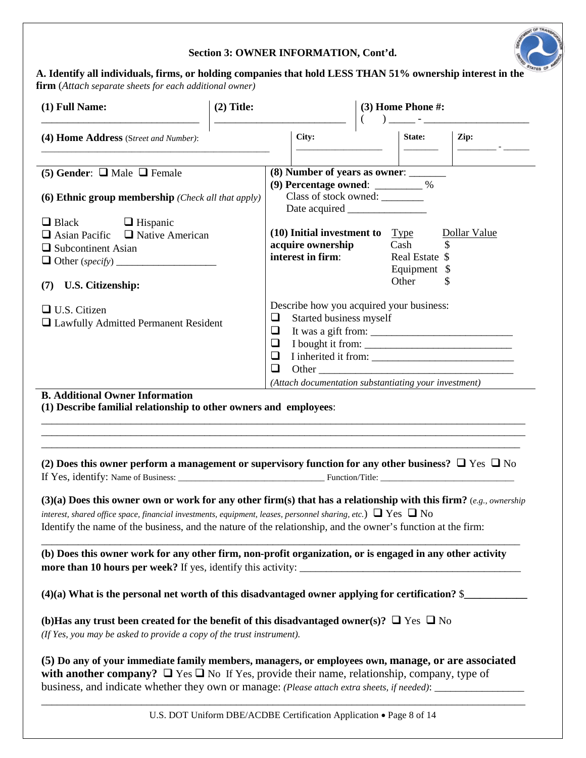## **Section 3: OWNER INFORMATION, Cont'd.**



**A. Identify all individuals, firms, or holding companies that hold LESS THAN 51% ownership interest in the firm** (*Attach separate sheets for each additional owner)*

| (1) Full Name:                                                                                                                                                                                                                                                                                                                                                                                                                                                               | $(2)$ Title:                    |                                                                                                                                                                                           | (3) Home Phone #: |                                                             |  |
|------------------------------------------------------------------------------------------------------------------------------------------------------------------------------------------------------------------------------------------------------------------------------------------------------------------------------------------------------------------------------------------------------------------------------------------------------------------------------|---------------------------------|-------------------------------------------------------------------------------------------------------------------------------------------------------------------------------------------|-------------------|-------------------------------------------------------------|--|
| (4) Home Address (Street and Number):                                                                                                                                                                                                                                                                                                                                                                                                                                        |                                 | City:                                                                                                                                                                                     |                   | Zip:<br>State:                                              |  |
| (5) Gender: $\Box$ Male $\Box$ Female<br>(6) Ethnic group membership (Check all that apply)<br>$\Box$ Black $\Box$ Hispanic<br>$\Box$ Asian Pacific $\Box$ Native American<br>$\Box$ Subcontinent Asian<br>(7) U.S. Citizenship:                                                                                                                                                                                                                                             |                                 | (8) Number of years as owner: _______<br>(9) Percentage owned: ________ %<br>Class of stock owned: _______<br>$(10)$ Initial investment to Type<br>acquire ownership<br>interest in firm: | Cash<br>Other     | Dollar Value<br>\$<br>Real Estate \$<br>Equipment \$<br>\$. |  |
| $\Box$ U.S. Citizen<br>□ Lawfully Admitted Permanent Resident<br><b>B.</b> Additional Owner Information<br>(1) Describe familial relationship to other owners and employees:                                                                                                                                                                                                                                                                                                 | ❏<br>$\Box$<br>❏<br>$\Box$<br>❏ | Describe how you acquired your business:<br>Started business myself<br>(Attach documentation substantiating your investment)                                                              |                   | I bought it from:                                           |  |
| (2) Does this owner perform a management or supervisory function for any other business? $\Box$ Yes $\Box$ No<br>(3)(a) Does this owner own or work for any other firm(s) that has a relationship with this firm? (e.g., ownership<br>interest, shared office space, financial investments, equipment, leases, personnel sharing, etc.) $\Box$ Yes $\Box$ No<br>Identify the name of the business, and the nature of the relationship, and the owner's function at the firm: |                                 |                                                                                                                                                                                           |                   |                                                             |  |
| (b) Does this owner work for any other firm, non-profit organization, or is engaged in any other activity                                                                                                                                                                                                                                                                                                                                                                    |                                 |                                                                                                                                                                                           |                   |                                                             |  |
| $(4)(a)$ What is the personal net worth of this disadvantaged owner applying for certification? \$                                                                                                                                                                                                                                                                                                                                                                           |                                 |                                                                                                                                                                                           |                   |                                                             |  |
| (b) Has any trust been created for the benefit of this disadvantaged owner(s)? $\Box$ Yes $\Box$ No<br>(If Yes, you may be asked to provide a copy of the trust instrument).                                                                                                                                                                                                                                                                                                 |                                 |                                                                                                                                                                                           |                   |                                                             |  |
| (5) Do any of your immediate family members, managers, or employees own, manage, or are associated<br>with another company? $\Box$ Yes $\Box$ No If Yes, provide their name, relationship, company, type of<br>business, and indicate whether they own or manage: (Please attach extra sheets, if needed): __________________                                                                                                                                                |                                 |                                                                                                                                                                                           |                   |                                                             |  |

U.S. DOT Uniform DBE/ACDBE Certification Application • Page 8 of 14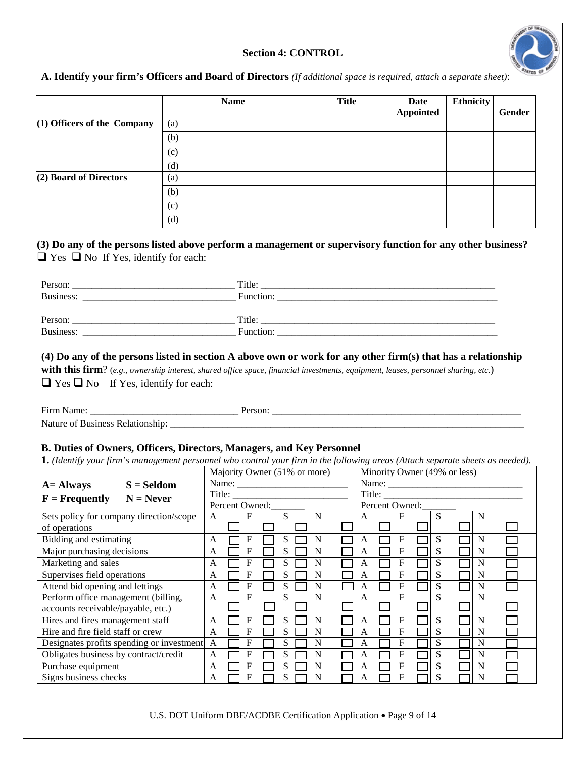## **Section 4: CONTROL**



## **A. Identify your firm's Officers and Board of Directors** *(If additional space is required, attach a separate sheet)*:

|                               | <b>Name</b> | <b>Title</b> | Date<br>Appointed | Ethnicity | Gender |
|-------------------------------|-------------|--------------|-------------------|-----------|--------|
| $(1)$ Officers of the Company | (a)         |              |                   |           |        |
|                               | (b)         |              |                   |           |        |
|                               | (c)         |              |                   |           |        |
|                               | (d)         |              |                   |           |        |
| (2) Board of Directors        | (a)         |              |                   |           |        |
|                               | (b)         |              |                   |           |        |
|                               | (c)         |              |                   |           |        |
|                               | (d)         |              |                   |           |        |

## **(3) Do any of the persons listed above perform a management or supervisory function for any other business?**   $\Box$  <br> Yes  $\Box$  <br> No If Yes, identify for each:

| Title:    |
|-----------|
| Function: |
|           |
| Title:    |
| Function: |
|           |

### **(4) Do any of the persons listed in section A above own or work for any other firm(s) that has a relationship**

**with this firm**? (*e.g., ownership interest, shared office space, financial investments, equipment, leases, personnel sharing, etc.*)  $\Box$  Yes  $\Box$  No If Yes, identify for each:

| Eirm<br>________ | ______<br>_______ |
|------------------|-------------------|
| ורו<br>__        |                   |

## **B. Duties of Owners, Officers, Directors, Managers, and Key Personnel**

**1.** *(Identify your firm's management personnel who control your firm in the following areas (Attach separate sheets as needed).* 

|                                         |                                           | Majority Owner (51% or more)                             |  |                |        |   |  | Minority Owner (49% or less) |                                                                                                                                                                                                                                                                                                                                                                                                                          |        |                |   |  |   |  |   |  |
|-----------------------------------------|-------------------------------------------|----------------------------------------------------------|--|----------------|--------|---|--|------------------------------|--------------------------------------------------------------------------------------------------------------------------------------------------------------------------------------------------------------------------------------------------------------------------------------------------------------------------------------------------------------------------------------------------------------------------|--------|----------------|---|--|---|--|---|--|
| $A =$ Always                            | $S =$ Seldom                              | Name: $\frac{1}{\sqrt{1-\frac{1}{2}} \cdot \frac{1}{2}}$ |  |                |        |   |  |                              | Name: $\frac{1}{\sqrt{1-\frac{1}{2}}}\frac{1}{\sqrt{1-\frac{1}{2}}}\frac{1}{\sqrt{1-\frac{1}{2}}}\frac{1}{\sqrt{1-\frac{1}{2}}}\frac{1}{\sqrt{1-\frac{1}{2}}}\frac{1}{\sqrt{1-\frac{1}{2}}}\frac{1}{\sqrt{1-\frac{1}{2}}}\frac{1}{\sqrt{1-\frac{1}{2}}}\frac{1}{\sqrt{1-\frac{1}{2}}}\frac{1}{\sqrt{1-\frac{1}{2}}}\frac{1}{\sqrt{1-\frac{1}{2}}}\frac{1}{\sqrt{1-\frac{1}{2}}}\frac{1}{\sqrt{1-\frac{1}{2}}}\frac{1}{\$ |        |                |   |  |   |  |   |  |
| $F = Frequently$                        | $N =$ Never                               |                                                          |  |                | Title: |   |  |                              |                                                                                                                                                                                                                                                                                                                                                                                                                          | Title: |                |   |  |   |  |   |  |
|                                         |                                           |                                                          |  | Percent Owned: |        |   |  |                              |                                                                                                                                                                                                                                                                                                                                                                                                                          |        | Percent Owned: |   |  |   |  |   |  |
| Sets policy for company direction/scope |                                           | A                                                        |  | F              |        |   |  | N                            |                                                                                                                                                                                                                                                                                                                                                                                                                          |        |                | F |  | S |  | N |  |
| of operations                           |                                           |                                                          |  |                |        |   |  |                              |                                                                                                                                                                                                                                                                                                                                                                                                                          |        |                |   |  |   |  |   |  |
| Bidding and estimating                  |                                           | A                                                        |  | F              |        | S |  | N                            |                                                                                                                                                                                                                                                                                                                                                                                                                          | A      |                | F |  | S |  | N |  |
| Major purchasing decisions              |                                           | A                                                        |  | F              |        | S |  | N                            |                                                                                                                                                                                                                                                                                                                                                                                                                          | A      |                | F |  | S |  | N |  |
| Marketing and sales                     |                                           | A                                                        |  | F              |        | S |  | N                            |                                                                                                                                                                                                                                                                                                                                                                                                                          | A      |                | F |  | S |  | N |  |
| Supervises field operations             |                                           | A                                                        |  | F              |        | S |  | N                            |                                                                                                                                                                                                                                                                                                                                                                                                                          | A      |                | F |  | S |  | N |  |
| Attend bid opening and lettings         |                                           | A                                                        |  | F              |        | S |  | N                            |                                                                                                                                                                                                                                                                                                                                                                                                                          | A      |                | F |  | S |  | N |  |
| Perform office management (billing,     |                                           | A                                                        |  | F              |        |   |  | N                            |                                                                                                                                                                                                                                                                                                                                                                                                                          | A      |                | F |  | S |  | N |  |
| accounts receivable/payable, etc.)      |                                           |                                                          |  |                |        |   |  |                              |                                                                                                                                                                                                                                                                                                                                                                                                                          |        |                |   |  |   |  |   |  |
| Hires and fires management staff        |                                           | A                                                        |  | F              |        | S |  | N                            |                                                                                                                                                                                                                                                                                                                                                                                                                          | A      |                | F |  | S |  | N |  |
| Hire and fire field staff or crew       |                                           | A                                                        |  | F              |        | S |  | N                            |                                                                                                                                                                                                                                                                                                                                                                                                                          | A      |                | F |  | S |  | N |  |
|                                         | Designates profits spending or investment | F<br>S<br>$\mathbf{A}$<br>N                              |  |                |        | F |  | S                            |                                                                                                                                                                                                                                                                                                                                                                                                                          | N      |                |   |  |   |  |   |  |
| Obligates business by contract/credit   |                                           | A                                                        |  | F              |        | S |  | N                            |                                                                                                                                                                                                                                                                                                                                                                                                                          | A      |                | F |  | S |  | N |  |
| Purchase equipment                      |                                           | A                                                        |  | F              |        | S |  | N                            |                                                                                                                                                                                                                                                                                                                                                                                                                          | A      |                | F |  | S |  | N |  |
| Signs business checks                   |                                           | A                                                        |  | F              |        | S |  | N                            |                                                                                                                                                                                                                                                                                                                                                                                                                          |        |                | F |  | S |  | N |  |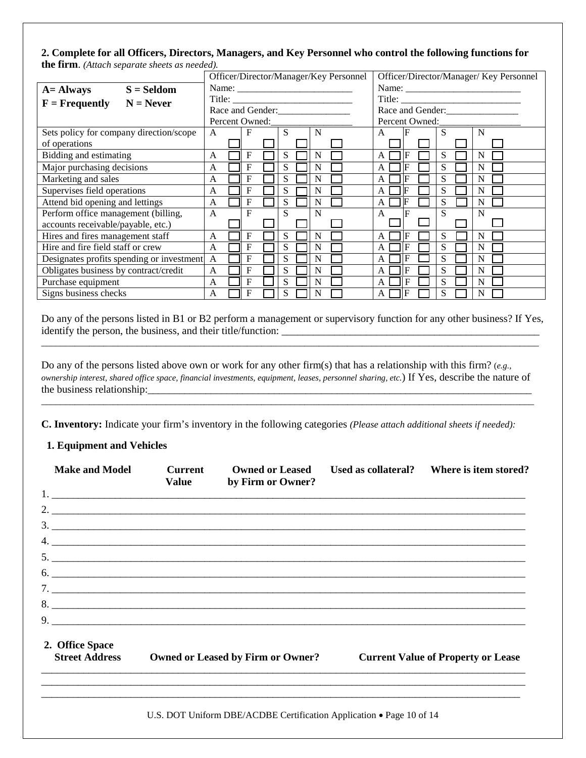## **2. Complete for all Officers, Directors, Managers, and Key Personnel who control the following functions for the firm**. *(Attach separate sheets as needed).*

|                                           | Officer/Director/Manager/Key Personnel |  |                |  | Officer/Director/Manager/ Key Personnel |  |   |                  |      |                |   |  |                  |  |
|-------------------------------------------|----------------------------------------|--|----------------|--|-----------------------------------------|--|---|------------------|------|----------------|---|--|------------------|--|
| $A =$ Always<br>$S =$ Seldom              |                                        |  |                |  |                                         |  |   |                  |      |                |   |  |                  |  |
| $F$ = Frequently<br>$N =$ Never           |                                        |  |                |  |                                         |  |   |                  |      |                |   |  |                  |  |
|                                           |                                        |  |                |  |                                         |  |   | Race and Gender: |      |                |   |  | Race and Gender: |  |
|                                           |                                        |  | Percent Owned: |  |                                         |  |   |                  |      | Percent Owned: |   |  |                  |  |
| Sets policy for company direction/scope   | A                                      |  | F              |  | S                                       |  | N |                  | A    |                | S |  | N                |  |
| of operations                             |                                        |  |                |  |                                         |  |   |                  |      |                |   |  |                  |  |
| Bidding and estimating                    | A                                      |  | F              |  | S                                       |  | N |                  | A    |                | S |  | N                |  |
| Major purchasing decisions                | A                                      |  | F              |  | S                                       |  | N |                  | A    |                | S |  | N                |  |
| Marketing and sales                       | A                                      |  | F              |  | S                                       |  | N |                  | A    |                | S |  | N                |  |
| Supervises field operations               | A                                      |  | F              |  | S                                       |  | N |                  | A    |                | S |  | N                |  |
| Attend bid opening and lettings           | A                                      |  | $\mathbf F$    |  | S                                       |  | N |                  | A    |                | S |  | N                |  |
| Perform office management (billing,       | $\mathsf{A}$                           |  | F              |  | S                                       |  | N |                  | A    |                | S |  | N                |  |
| accounts receivable/payable, etc.)        |                                        |  |                |  |                                         |  |   |                  |      |                |   |  |                  |  |
| Hires and fires management staff          | A                                      |  | F              |  | S                                       |  | N |                  | A    |                | S |  | N                |  |
| Hire and fire field staff or crew         | A                                      |  | F              |  | S                                       |  | N |                  |      |                | S |  | N                |  |
| Designates profits spending or investment | $\mathsf{A}$                           |  | F              |  | S                                       |  | N |                  |      |                | S |  | N                |  |
| Obligates business by contract/credit     | A                                      |  | F              |  | S                                       |  | N |                  | A    |                | S |  | N                |  |
| Purchase equipment                        | A                                      |  | $\mathbf F$    |  | S                                       |  | N |                  | A    | F              | S |  | N                |  |
| Signs business checks                     | A                                      |  | F              |  | S                                       |  | N |                  | AI I | F              |   |  | N                |  |

Do any of the persons listed in B1 or B2 perform a management or supervisory function for any other business? If Yes, identify the person, the business, and their title/function: \_\_\_\_\_\_\_\_\_\_\_\_\_\_\_\_\_\_\_\_\_\_\_\_\_\_\_\_\_\_\_\_\_\_\_\_\_\_\_\_\_\_\_\_\_\_\_\_\_\_\_\_\_\_\_\_\_\_\_\_\_\_\_\_\_\_\_\_\_\_\_\_\_\_\_\_\_\_\_\_\_\_\_\_\_\_\_\_\_\_\_\_\_\_\_\_\_\_\_\_\_\_\_\_

Do any of the persons listed above own or work for any other firm(s) that has a relationship with this firm? (*e.g., ownership interest, shared office space, financial investments, equipment, leases, personnel sharing, etc.*) If Yes, describe the nature of the business relationship:

\_\_\_\_\_\_\_\_\_\_\_\_\_\_\_\_\_\_\_\_\_\_\_\_\_\_\_\_\_\_\_\_\_\_\_\_\_\_\_\_\_\_\_\_\_\_\_\_\_\_\_\_\_\_\_\_\_\_\_\_\_\_\_\_\_\_\_\_\_\_\_\_\_\_\_\_\_\_\_\_\_\_\_\_\_\_\_\_\_\_\_\_\_\_\_\_\_\_\_\_\_\_\_

**C. Inventory:** Indicate your firm's inventory in the following categories *(Please attach additional sheets if needed):*

## **1. Equipment and Vehicles**

| <b>Make and Model</b> | <b>Current</b><br><b>Value</b> | <b>Owned or Leased</b><br>by Firm or Owner?                          | Used as collateral? | Where is item stored?                     |
|-----------------------|--------------------------------|----------------------------------------------------------------------|---------------------|-------------------------------------------|
|                       |                                |                                                                      |                     |                                           |
|                       |                                |                                                                      |                     |                                           |
|                       |                                | $\frac{3}{2}$                                                        |                     |                                           |
|                       |                                | $\frac{4}{2}$                                                        |                     |                                           |
|                       |                                |                                                                      |                     |                                           |
|                       |                                | $6.$ $\overline{\phantom{a}}$                                        |                     |                                           |
|                       |                                |                                                                      |                     |                                           |
|                       |                                |                                                                      |                     |                                           |
|                       |                                | $9.$ $\overline{\phantom{a}}$                                        |                     |                                           |
| 2. Office Space       |                                |                                                                      |                     |                                           |
| <b>Street Address</b> |                                | <b>Owned or Leased by Firm or Owner?</b>                             |                     | <b>Current Value of Property or Lease</b> |
|                       |                                |                                                                      |                     |                                           |
|                       |                                | U.S. DOT Uniform DBE/ACDBE Certification Application • Page 10 of 14 |                     |                                           |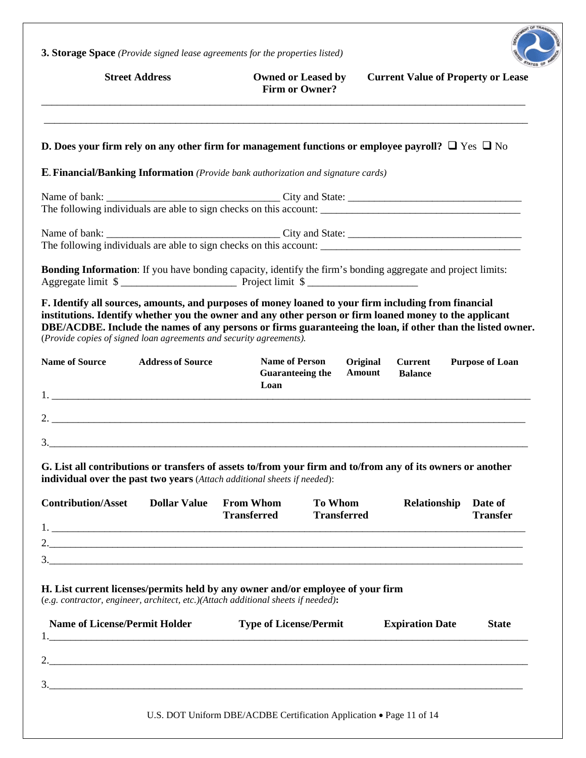**3. Storage Space** *(Provide signed lease agreements for the properties listed)*



|                                                                                                                                                                      | <b>Street Address</b>    |                                                          | <b>Owned or Leased by</b><br><b>Firm or Owner?</b> | <b>Current Value of Property or Lease</b>                                                                                                                                                                                                                                                                                      |                            |
|----------------------------------------------------------------------------------------------------------------------------------------------------------------------|--------------------------|----------------------------------------------------------|----------------------------------------------------|--------------------------------------------------------------------------------------------------------------------------------------------------------------------------------------------------------------------------------------------------------------------------------------------------------------------------------|----------------------------|
|                                                                                                                                                                      |                          |                                                          |                                                    | D. Does your firm rely on any other firm for management functions or employee payroll? $\Box$ Yes $\Box$ No                                                                                                                                                                                                                    |                            |
| <b>E. Financial/Banking Information</b> (Provide bank authorization and signature cards)                                                                             |                          |                                                          |                                                    |                                                                                                                                                                                                                                                                                                                                |                            |
|                                                                                                                                                                      |                          |                                                          |                                                    | The following individuals are able to sign checks on this account:                                                                                                                                                                                                                                                             |                            |
|                                                                                                                                                                      |                          |                                                          |                                                    | The following individuals are able to sign checks on this account:                                                                                                                                                                                                                                                             |                            |
| Aggregate limit \$                                                                                                                                                   |                          |                                                          |                                                    | Bonding Information: If you have bonding capacity, identify the firm's bonding aggregate and project limits:                                                                                                                                                                                                                   |                            |
| (Provide copies of signed loan agreements and security agreements).                                                                                                  |                          |                                                          |                                                    | F. Identify all sources, amounts, and purposes of money loaned to your firm including from financial<br>institutions. Identify whether you the owner and any other person or firm loaned money to the applicant<br>DBE/ACDBE. Include the names of any persons or firms guaranteeing the loan, if other than the listed owner. |                            |
| <b>Name of Source</b>                                                                                                                                                | <b>Address of Source</b> | <b>Name of Person</b><br><b>Guaranteeing the</b><br>Loan | Original<br><b>Amount</b>                          | <b>Current</b><br><b>Balance</b>                                                                                                                                                                                                                                                                                               | <b>Purpose of Loan</b>     |
|                                                                                                                                                                      |                          |                                                          |                                                    |                                                                                                                                                                                                                                                                                                                                |                            |
|                                                                                                                                                                      |                          |                                                          |                                                    |                                                                                                                                                                                                                                                                                                                                |                            |
| individual over the past two years (Attach additional sheets if needed):                                                                                             |                          |                                                          |                                                    | G. List all contributions or transfers of assets to/from your firm and to/from any of its owners or another                                                                                                                                                                                                                    |                            |
| <b>Contribution/Asset</b><br>$1.$ $\overline{\phantom{a}}$                                                                                                           | <b>Dollar Value</b>      | <b>From Whom</b><br><b>Transferred</b>                   | <b>To Whom</b><br><b>Transferred</b>               | Relationship                                                                                                                                                                                                                                                                                                                   | Date of<br><b>Transfer</b> |
|                                                                                                                                                                      |                          |                                                          |                                                    |                                                                                                                                                                                                                                                                                                                                |                            |
|                                                                                                                                                                      |                          |                                                          |                                                    | $\frac{3}{2}$                                                                                                                                                                                                                                                                                                                  |                            |
| H. List current licenses/permits held by any owner and/or employee of your firm<br>(e.g. contractor, engineer, architect, etc.)(Attach additional sheets if needed): |                          |                                                          |                                                    |                                                                                                                                                                                                                                                                                                                                |                            |
| <b>Name of License/Permit Holder</b>                                                                                                                                 |                          | <b>Type of License/Permit</b>                            |                                                    | <b>Expiration Date</b>                                                                                                                                                                                                                                                                                                         | <b>State</b>               |
|                                                                                                                                                                      |                          |                                                          |                                                    |                                                                                                                                                                                                                                                                                                                                |                            |
|                                                                                                                                                                      |                          |                                                          |                                                    |                                                                                                                                                                                                                                                                                                                                |                            |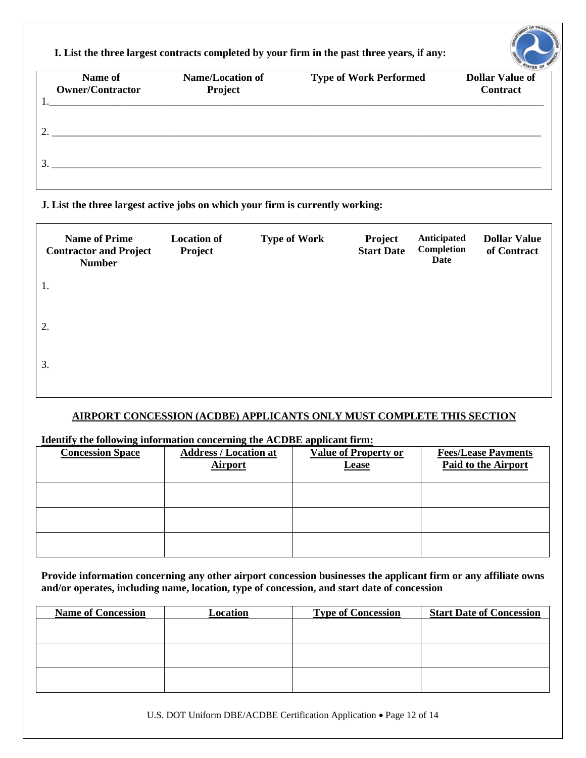**I. List the three largest contracts completed by your firm in the past three years, if any:** 

| Name of<br><b>Owner/Contractor</b> | <b>Name/Location of</b><br>Project | <b>Type of Work Performed</b> | <b>MITES OF</b><br><b>Dollar Value of</b><br><b>Contract</b> |
|------------------------------------|------------------------------------|-------------------------------|--------------------------------------------------------------|
|                                    |                                    |                               |                                                              |
|                                    |                                    |                               |                                                              |

## **J. List the three largest active jobs on which your firm is currently working:**

| <b>Name of Prime</b><br><b>Contractor and Project</b><br><b>Number</b> | <b>Location of</b><br>Project | <b>Type of Work</b> | Project<br><b>Start Date</b> | Anticipated<br>Completion<br>Date | <b>Dollar Value</b><br>of Contract |
|------------------------------------------------------------------------|-------------------------------|---------------------|------------------------------|-----------------------------------|------------------------------------|
| 1.                                                                     |                               |                     |                              |                                   |                                    |
| 2.                                                                     |                               |                     |                              |                                   |                                    |
| 3.                                                                     |                               |                     |                              |                                   |                                    |

## **AIRPORT CONCESSION (ACDBE) APPLICANTS ONLY MUST COMPLETE THIS SECTION**

## **Identify the following information concerning the ACDBE applicant firm:**

| <b>Concession Space</b> | <b>Address / Location at</b><br><b>Airport</b> | <b>Value of Property or</b><br><b>Lease</b> | <b>Fees/Lease Payments</b><br>Paid to the Airport |
|-------------------------|------------------------------------------------|---------------------------------------------|---------------------------------------------------|
|                         |                                                |                                             |                                                   |
|                         |                                                |                                             |                                                   |
|                         |                                                |                                             |                                                   |

**Provide information concerning any other airport concession businesses the applicant firm or any affiliate owns and/or operates, including name, location, type of concession, and start date of concession**

| <b>Name of Concession</b> | Location | <b>Type of Concession</b> | <b>Start Date of Concession</b> |
|---------------------------|----------|---------------------------|---------------------------------|
|                           |          |                           |                                 |
|                           |          |                           |                                 |
|                           |          |                           |                                 |
|                           |          |                           |                                 |
|                           |          |                           |                                 |
|                           |          |                           |                                 |

U.S. DOT Uniform DBE/ACDBE Certification Application • Page 12 of 14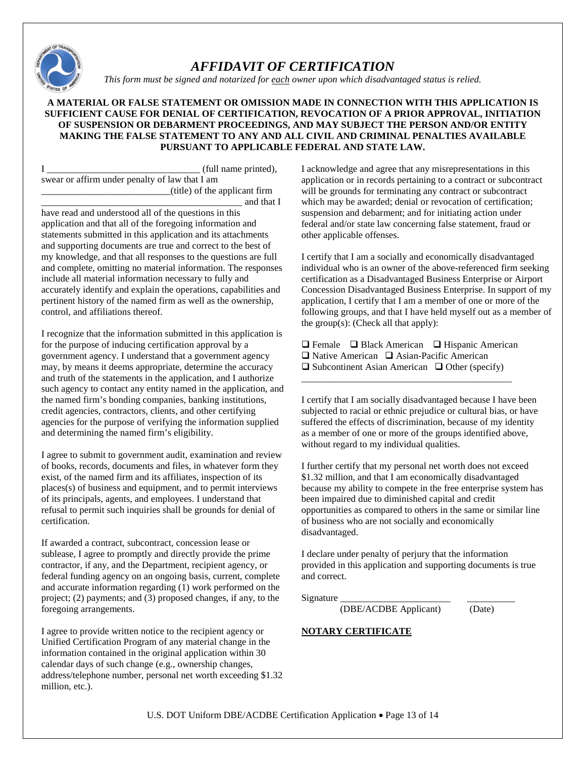

# *AFFIDAVIT OF CERTIFICATION*

*This form must be signed and notarized for each owner upon which disadvantaged status is relied.*

### **A MATERIAL OR FALSE STATEMENT OR OMISSION MADE IN CONNECTION WITH THIS APPLICATION IS SUFFICIENT CAUSE FOR DENIAL OF CERTIFICATION, REVOCATION OF A PRIOR APPROVAL, INITIATION OF SUSPENSION OR DEBARMENT PROCEEDINGS, AND MAY SUBJECT THE PERSON AND/OR ENTITY MAKING THE FALSE STATEMENT TO ANY AND ALL CIVIL AND CRIMINAL PENALTIES AVAILABLE PURSUANT TO APPLICABLE FEDERAL AND STATE LAW.**

I \_\_\_\_\_\_\_\_\_\_\_\_\_\_\_\_\_\_\_\_\_\_\_\_\_\_\_\_\_\_\_\_ (full name printed), swear or affirm under penalty of law that I am \_\_\_\_\_\_\_\_\_\_\_\_\_\_\_\_\_\_\_\_\_\_\_\_\_\_\_(title) of the applicant firm

and that I have read and understood all of the questions in this application and that all of the foregoing information and statements submitted in this application and its attachments and supporting documents are true and correct to the best of my knowledge, and that all responses to the questions are full and complete, omitting no material information. The responses include all material information necessary to fully and accurately identify and explain the operations, capabilities and pertinent history of the named firm as well as the ownership, control, and affiliations thereof.

I recognize that the information submitted in this application is for the purpose of inducing certification approval by a government agency. I understand that a government agency may, by means it deems appropriate, determine the accuracy and truth of the statements in the application, and I authorize such agency to contact any entity named in the application, and the named firm's bonding companies, banking institutions, credit agencies, contractors, clients, and other certifying agencies for the purpose of verifying the information supplied and determining the named firm's eligibility.

I agree to submit to government audit, examination and review of books, records, documents and files, in whatever form they exist, of the named firm and its affiliates, inspection of its places(s) of business and equipment, and to permit interviews of its principals, agents, and employees. I understand that refusal to permit such inquiries shall be grounds for denial of certification.

If awarded a contract, subcontract, concession lease or sublease, I agree to promptly and directly provide the prime contractor, if any, and the Department, recipient agency, or federal funding agency on an ongoing basis, current, complete and accurate information regarding (1) work performed on the project; (2) payments; and (3) proposed changes, if any, to the foregoing arrangements.

I agree to provide written notice to the recipient agency or Unified Certification Program of any material change in the information contained in the original application within 30 calendar days of such change (e.g., ownership changes, address/telephone number, personal net worth exceeding \$1.32 million, etc.).

I acknowledge and agree that any misrepresentations in this application or in records pertaining to a contract or subcontract will be grounds for terminating any contract or subcontract which may be awarded; denial or revocation of certification; suspension and debarment; and for initiating action under federal and/or state law concerning false statement, fraud or other applicable offenses.

I certify that I am a socially and economically disadvantaged individual who is an owner of the above-referenced firm seeking certification as a Disadvantaged Business Enterprise or Airport Concession Disadvantaged Business Enterprise. In support of my application, I certify that I am a member of one or more of the following groups, and that I have held myself out as a member of the group(s): (Check all that apply):

 $\Box$  Female  $\Box$  Black American  $\Box$  Hispanic American  $\Box$  Native American  $\Box$  Asian-Pacific American  $\Box$  Subcontinent Asian American  $\Box$  Other (specify)

\_\_\_\_\_\_\_\_\_\_\_\_\_\_\_\_\_\_\_\_\_\_\_\_\_\_\_\_\_\_\_\_\_\_\_\_\_\_\_\_\_\_\_\_

I certify that I am socially disadvantaged because I have been subjected to racial or ethnic prejudice or cultural bias, or have suffered the effects of discrimination, because of my identity as a member of one or more of the groups identified above, without regard to my individual qualities.

I further certify that my personal net worth does not exceed \$1.32 million, and that I am economically disadvantaged because my ability to compete in the free enterprise system has been impaired due to diminished capital and credit opportunities as compared to others in the same or similar line of business who are not socially and economically disadvantaged.

I declare under penalty of perjury that the information provided in this application and supporting documents is true and correct.

Signature

(DBE/ACDBE Applicant) (Date)

## **NOTARY CERTIFICATE**